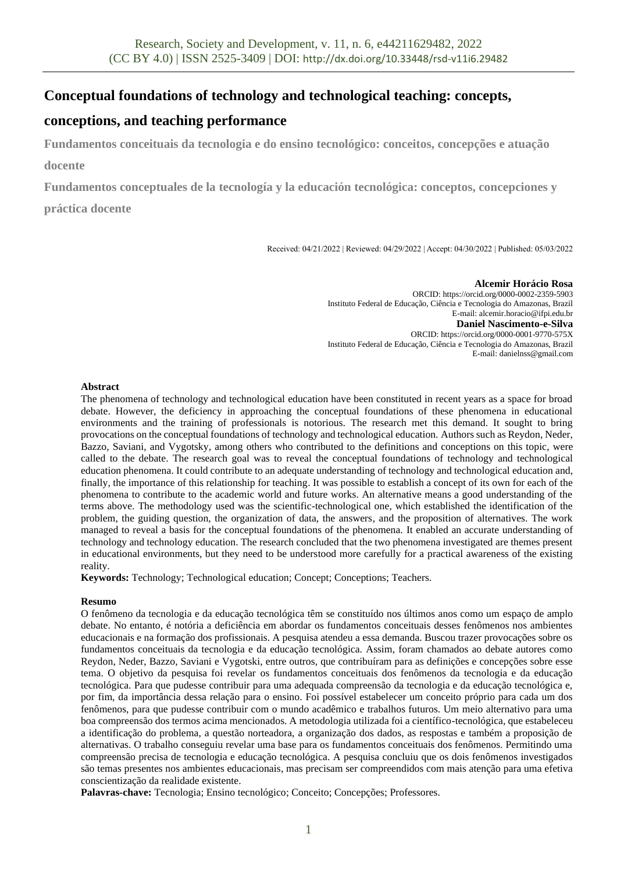# **Conceptual foundations of technology and technological teaching: concepts,**

# **conceptions, and teaching performance**

**Fundamentos conceituais da tecnologia e do ensino tecnológico: conceitos, concepções e atuação docente**

**Fundamentos conceptuales de la tecnología y la educación tecnológica: conceptos, concepciones y** 

**práctica docente**

Received: 04/21/2022 | Reviewed: 04/29/2022 | Accept: 04/30/2022 | Published: 05/03/2022

**Alcemir Horácio Rosa** ORCID: https://orcid.org/0000-0002-2359-5903 Instituto Federal de Educação, Ciência e Tecnologia do Amazonas, Brazil E-mail: alcemir.horacio@ifpi.edu.br **Daniel Nascimento-e-Silva** ORCID: https://orcid.org/0000-0001-9770-575X Instituto Federal de Educação, Ciência e Tecnologia do Amazonas, Brazil E-mail: danielnss@gmail.com

# **Abstract**

The phenomena of technology and technological education have been constituted in recent years as a space for broad debate. However, the deficiency in approaching the conceptual foundations of these phenomena in educational environments and the training of professionals is notorious. The research met this demand. It sought to bring provocations on the conceptual foundations of technology and technological education. Authors such as Reydon, Neder, Bazzo, Saviani, and Vygotsky, among others who contributed to the definitions and conceptions on this topic, were called to the debate. The research goal was to reveal the conceptual foundations of technology and technological education phenomena. It could contribute to an adequate understanding of technology and technological education and, finally, the importance of this relationship for teaching. It was possible to establish a concept of its own for each of the phenomena to contribute to the academic world and future works. An alternative means a good understanding of the terms above. The methodology used was the scientific-technological one, which established the identification of the problem, the guiding question, the organization of data, the answers, and the proposition of alternatives. The work managed to reveal a basis for the conceptual foundations of the phenomena. It enabled an accurate understanding of technology and technology education. The research concluded that the two phenomena investigated are themes present in educational environments, but they need to be understood more carefully for a practical awareness of the existing reality.

**Keywords:** Technology; Technological education; Concept; Conceptions; Teachers.

# **Resumo**

O fenômeno da tecnologia e da educação tecnológica têm se constituído nos últimos anos como um espaço de amplo debate. No entanto, é notória a deficiência em abordar os fundamentos conceituais desses fenômenos nos ambientes educacionais e na formação dos profissionais. A pesquisa atendeu a essa demanda. Buscou trazer provocações sobre os fundamentos conceituais da tecnologia e da educação tecnológica. Assim, foram chamados ao debate autores como Reydon, Neder, Bazzo, Saviani e Vygotski, entre outros, que contribuíram para as definições e concepções sobre esse tema. O objetivo da pesquisa foi revelar os fundamentos conceituais dos fenômenos da tecnologia e da educação tecnológica. Para que pudesse contribuir para uma adequada compreensão da tecnologia e da educação tecnológica e, por fim, da importância dessa relação para o ensino. Foi possível estabelecer um conceito próprio para cada um dos fenômenos, para que pudesse contribuir com o mundo acadêmico e trabalhos futuros. Um meio alternativo para uma boa compreensão dos termos acima mencionados. A metodologia utilizada foi a científico-tecnológica, que estabeleceu a identificação do problema, a questão norteadora, a organização dos dados, as respostas e também a proposição de alternativas. O trabalho conseguiu revelar uma base para os fundamentos conceituais dos fenômenos. Permitindo uma compreensão precisa de tecnologia e educação tecnológica. A pesquisa concluiu que os dois fenômenos investigados são temas presentes nos ambientes educacionais, mas precisam ser compreendidos com mais atenção para uma efetiva conscientização da realidade existente.

**Palavras-chave:** Tecnologia; Ensino tecnológico; Conceito; Concepções; Professores.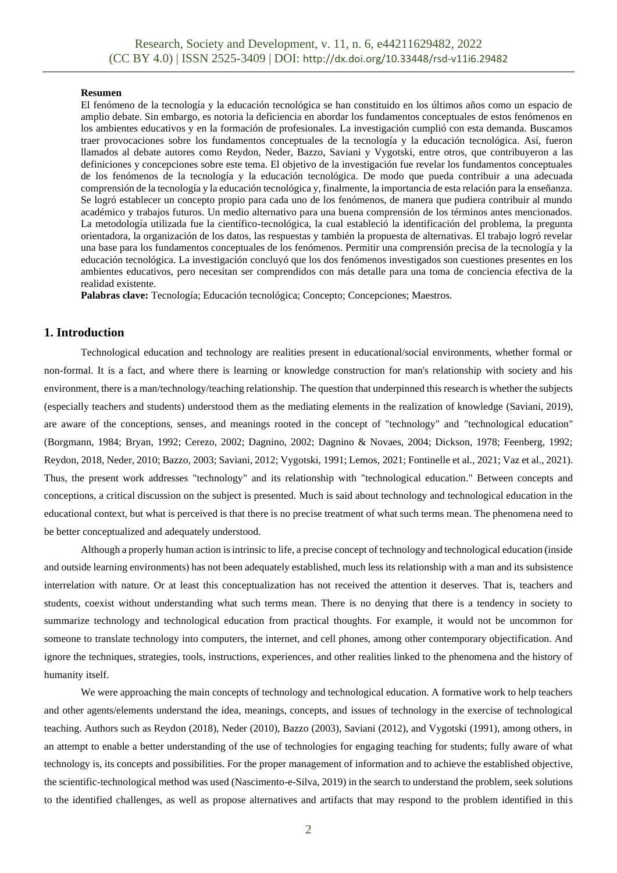#### **Resumen**

El fenómeno de la tecnología y la educación tecnológica se han constituido en los últimos años como un espacio de amplio debate. Sin embargo, es notoria la deficiencia en abordar los fundamentos conceptuales de estos fenómenos en los ambientes educativos y en la formación de profesionales. La investigación cumplió con esta demanda. Buscamos traer provocaciones sobre los fundamentos conceptuales de la tecnología y la educación tecnológica. Así, fueron llamados al debate autores como Reydon, Neder, Bazzo, Saviani y Vygotski, entre otros, que contribuyeron a las definiciones y concepciones sobre este tema. El objetivo de la investigación fue revelar los fundamentos conceptuales de los fenómenos de la tecnología y la educación tecnológica. De modo que pueda contribuir a una adecuada comprensión de la tecnología y la educación tecnológica y, finalmente, la importancia de esta relación para la enseñanza. Se logró establecer un concepto propio para cada uno de los fenómenos, de manera que pudiera contribuir al mundo académico y trabajos futuros. Un medio alternativo para una buena comprensión de los términos antes mencionados. La metodología utilizada fue la científico-tecnológica, la cual estableció la identificación del problema, la pregunta orientadora, la organización de los datos, las respuestas y también la propuesta de alternativas. El trabajo logró revelar una base para los fundamentos conceptuales de los fenómenos. Permitir una comprensión precisa de la tecnología y la educación tecnológica. La investigación concluyó que los dos fenómenos investigados son cuestiones presentes en los ambientes educativos, pero necesitan ser comprendidos con más detalle para una toma de conciencia efectiva de la realidad existente.

**Palabras clave:** Tecnología; Educación tecnológica; Concepto; Concepciones; Maestros.

## **1. Introduction**

Technological education and technology are realities present in educational/social environments, whether formal or non-formal. It is a fact, and where there is learning or knowledge construction for man's relationship with society and his environment, there is a man/technology/teaching relationship. The question that underpinned this research is whether the subjects (especially teachers and students) understood them as the mediating elements in the realization of knowledge (Saviani, 2019), are aware of the conceptions, senses, and meanings rooted in the concept of "technology" and "technological education" (Borgmann, 1984; Bryan, 1992; Cerezo, 2002; Dagnino, 2002; Dagnino & Novaes, 2004; Dickson, 1978; Feenberg, 1992; Reydon, 2018, Neder, 2010; Bazzo, 2003; Saviani, 2012; Vygotski, 1991; Lemos, 2021; Fontinelle et al., 2021; Vaz et al., 2021). Thus, the present work addresses "technology" and its relationship with "technological education." Between concepts and conceptions, a critical discussion on the subject is presented. Much is said about technology and technological education in the educational context, but what is perceived is that there is no precise treatment of what such terms mean. The phenomena need to be better conceptualized and adequately understood.

Although a properly human action is intrinsic to life, a precise concept of technology and technological education (inside and outside learning environments) has not been adequately established, much less its relationship with a man and its subsistence interrelation with nature. Or at least this conceptualization has not received the attention it deserves. That is, teachers and students, coexist without understanding what such terms mean. There is no denying that there is a tendency in society to summarize technology and technological education from practical thoughts. For example, it would not be uncommon for someone to translate technology into computers, the internet, and cell phones, among other contemporary objectification. And ignore the techniques, strategies, tools, instructions, experiences, and other realities linked to the phenomena and the history of humanity itself.

We were approaching the main concepts of technology and technological education. A formative work to help teachers and other agents/elements understand the idea, meanings, concepts, and issues of technology in the exercise of technological teaching. Authors such as Reydon (2018), Neder (2010), Bazzo (2003), Saviani (2012), and Vygotski (1991), among others, in an attempt to enable a better understanding of the use of technologies for engaging teaching for students; fully aware of what technology is, its concepts and possibilities. For the proper management of information and to achieve the established objective, the scientific-technological method was used (Nascimento-e-Silva, 2019) in the search to understand the problem, seek solutions to the identified challenges, as well as propose alternatives and artifacts that may respond to the problem identified in this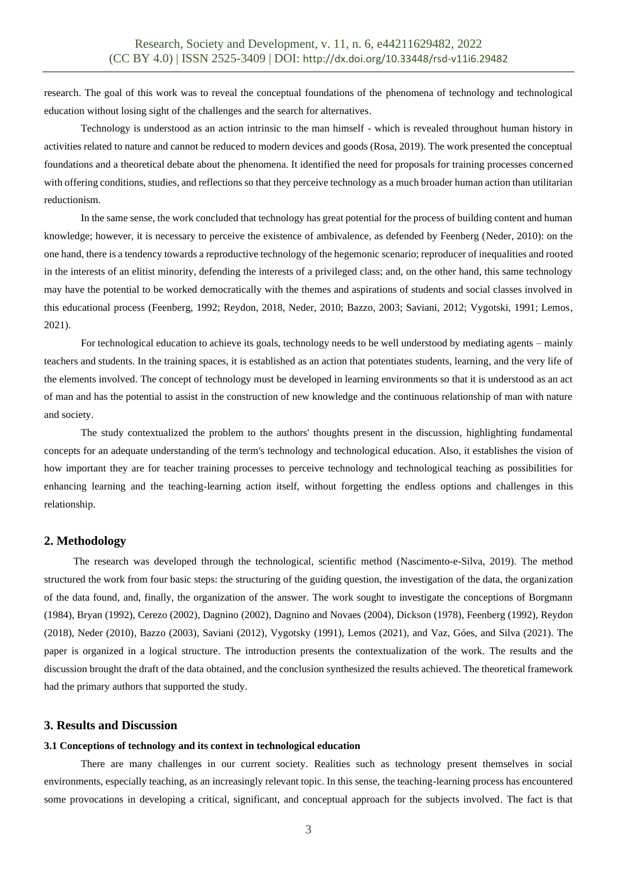research. The goal of this work was to reveal the conceptual foundations of the phenomena of technology and technological education without losing sight of the challenges and the search for alternatives.

Technology is understood as an action intrinsic to the man himself - which is revealed throughout human history in activities related to nature and cannot be reduced to modern devices and goods (Rosa, 2019). The work presented the conceptual foundations and a theoretical debate about the phenomena. It identified the need for proposals for training processes concerned with offering conditions, studies, and reflections so that they perceive technology as a much broader human action than utilitarian reductionism.

In the same sense, the work concluded that technology has great potential for the process of building content and human knowledge; however, it is necessary to perceive the existence of ambivalence, as defended by Feenberg (Neder, 2010): on the one hand, there is a tendency towards a reproductive technology of the hegemonic scenario; reproducer of inequalities and rooted in the interests of an elitist minority, defending the interests of a privileged class; and, on the other hand, this same technology may have the potential to be worked democratically with the themes and aspirations of students and social classes involved in this educational process (Feenberg, 1992; Reydon, 2018, Neder, 2010; Bazzo, 2003; Saviani, 2012; Vygotski, 1991; Lemos, 2021).

For technological education to achieve its goals, technology needs to be well understood by mediating agents – mainly teachers and students. In the training spaces, it is established as an action that potentiates students, learning, and the very life of the elements involved. The concept of technology must be developed in learning environments so that it is understood as an act of man and has the potential to assist in the construction of new knowledge and the continuous relationship of man with nature and society.

The study contextualized the problem to the authors' thoughts present in the discussion, highlighting fundamental concepts for an adequate understanding of the term's technology and technological education. Also, it establishes the vision of how important they are for teacher training processes to perceive technology and technological teaching as possibilities for enhancing learning and the teaching-learning action itself, without forgetting the endless options and challenges in this relationship.

## **2. Methodology**

The research was developed through the technological, scientific method (Nascimento-e-Silva, 2019). The method structured the work from four basic steps: the structuring of the guiding question, the investigation of the data, the organization of the data found, and, finally, the organization of the answer. The work sought to investigate the conceptions of Borgmann (1984), Bryan (1992), Cerezo (2002), Dagnino (2002), Dagnino and Novaes (2004), Dickson (1978), Feenberg (1992), Reydon (2018), Neder (2010), Bazzo (2003), Saviani (2012), Vygotsky (1991), Lemos (2021), and Vaz, Góes, and Silva (2021). The paper is organized in a logical structure. The introduction presents the contextualization of the work. The results and the discussion brought the draft of the data obtained, and the conclusion synthesized the results achieved. The theoretical framework had the primary authors that supported the study.

## **3. Results and Discussion**

### **3.1 Conceptions of technology and its context in technological education**

There are many challenges in our current society. Realities such as technology present themselves in social environments, especially teaching, as an increasingly relevant topic. In this sense, the teaching-learning process has encountered some provocations in developing a critical, significant, and conceptual approach for the subjects involved. The fact is that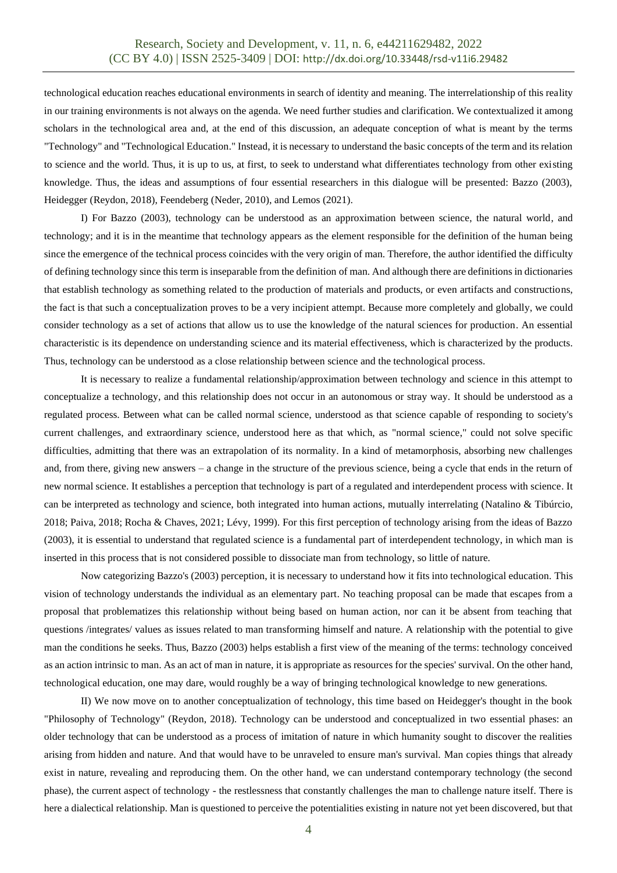technological education reaches educational environments in search of identity and meaning. The interrelationship of this reality in our training environments is not always on the agenda. We need further studies and clarification. We contextualized it among scholars in the technological area and, at the end of this discussion, an adequate conception of what is meant by the terms "Technology" and "Technological Education." Instead, it is necessary to understand the basic concepts of the term and its relation to science and the world. Thus, it is up to us, at first, to seek to understand what differentiates technology from other existing knowledge. Thus, the ideas and assumptions of four essential researchers in this dialogue will be presented: Bazzo (2003), Heidegger (Reydon, 2018), Feendeberg (Neder, 2010), and Lemos (2021).

I) For Bazzo (2003), technology can be understood as an approximation between science, the natural world, and technology; and it is in the meantime that technology appears as the element responsible for the definition of the human being since the emergence of the technical process coincides with the very origin of man. Therefore, the author identified the difficulty of defining technology since this term is inseparable from the definition of man. And although there are definitions in dictionaries that establish technology as something related to the production of materials and products, or even artifacts and constructions, the fact is that such a conceptualization proves to be a very incipient attempt. Because more completely and globally, we could consider technology as a set of actions that allow us to use the knowledge of the natural sciences for production. An essential characteristic is its dependence on understanding science and its material effectiveness, which is characterized by the products. Thus, technology can be understood as a close relationship between science and the technological process.

It is necessary to realize a fundamental relationship/approximation between technology and science in this attempt to conceptualize a technology, and this relationship does not occur in an autonomous or stray way. It should be understood as a regulated process. Between what can be called normal science, understood as that science capable of responding to society's current challenges, and extraordinary science, understood here as that which, as "normal science," could not solve specific difficulties, admitting that there was an extrapolation of its normality. In a kind of metamorphosis, absorbing new challenges and, from there, giving new answers – a change in the structure of the previous science, being a cycle that ends in the return of new normal science. It establishes a perception that technology is part of a regulated and interdependent process with science. It can be interpreted as technology and science, both integrated into human actions, mutually interrelating (Natalino & Tibúrcio, 2018; Paiva, 2018; Rocha & Chaves, 2021; Lévy, 1999). For this first perception of technology arising from the ideas of Bazzo (2003), it is essential to understand that regulated science is a fundamental part of interdependent technology, in which man is inserted in this process that is not considered possible to dissociate man from technology, so little of nature.

Now categorizing Bazzo's (2003) perception, it is necessary to understand how it fits into technological education. This vision of technology understands the individual as an elementary part. No teaching proposal can be made that escapes from a proposal that problematizes this relationship without being based on human action, nor can it be absent from teaching that questions /integrates/ values as issues related to man transforming himself and nature. A relationship with the potential to give man the conditions he seeks. Thus, Bazzo (2003) helps establish a first view of the meaning of the terms: technology conceived as an action intrinsic to man. As an act of man in nature, it is appropriate as resources for the species' survival. On the other hand, technological education, one may dare, would roughly be a way of bringing technological knowledge to new generations.

II) We now move on to another conceptualization of technology, this time based on Heidegger's thought in the book "Philosophy of Technology" (Reydon, 2018). Technology can be understood and conceptualized in two essential phases: an older technology that can be understood as a process of imitation of nature in which humanity sought to discover the realities arising from hidden and nature. And that would have to be unraveled to ensure man's survival. Man copies things that already exist in nature, revealing and reproducing them. On the other hand, we can understand contemporary technology (the second phase), the current aspect of technology - the restlessness that constantly challenges the man to challenge nature itself. There is here a dialectical relationship. Man is questioned to perceive the potentialities existing in nature not yet been discovered, but that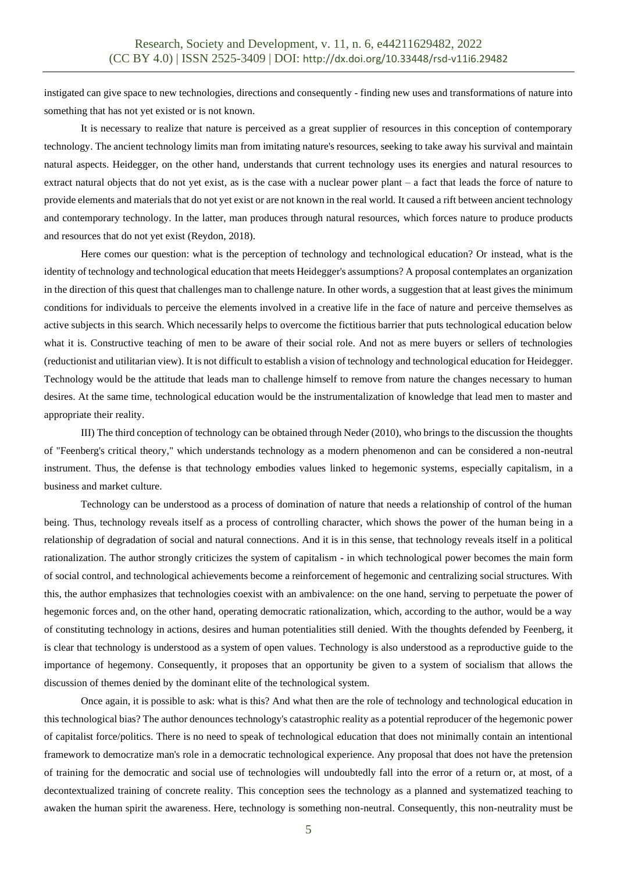instigated can give space to new technologies, directions and consequently - finding new uses and transformations of nature into something that has not yet existed or is not known.

It is necessary to realize that nature is perceived as a great supplier of resources in this conception of contemporary technology. The ancient technology limits man from imitating nature's resources, seeking to take away his survival and maintain natural aspects. Heidegger, on the other hand, understands that current technology uses its energies and natural resources to extract natural objects that do not yet exist, as is the case with a nuclear power plant – a fact that leads the force of nature to provide elements and materials that do not yet exist or are not known in the real world. It caused a rift between ancient technology and contemporary technology. In the latter, man produces through natural resources, which forces nature to produce products and resources that do not yet exist (Reydon, 2018).

Here comes our question: what is the perception of technology and technological education? Or instead, what is the identity of technology and technological education that meets Heidegger's assumptions? A proposal contemplates an organization in the direction of this quest that challenges man to challenge nature. In other words, a suggestion that at least gives the minimum conditions for individuals to perceive the elements involved in a creative life in the face of nature and perceive themselves as active subjects in this search. Which necessarily helps to overcome the fictitious barrier that puts technological education below what it is. Constructive teaching of men to be aware of their social role. And not as mere buyers or sellers of technologies (reductionist and utilitarian view). It is not difficult to establish a vision of technology and technological education for Heidegger. Technology would be the attitude that leads man to challenge himself to remove from nature the changes necessary to human desires. At the same time, technological education would be the instrumentalization of knowledge that lead men to master and appropriate their reality.

III) The third conception of technology can be obtained through Neder (2010), who brings to the discussion the thoughts of "Feenberg's critical theory," which understands technology as a modern phenomenon and can be considered a non-neutral instrument. Thus, the defense is that technology embodies values linked to hegemonic systems, especially capitalism, in a business and market culture.

Technology can be understood as a process of domination of nature that needs a relationship of control of the human being. Thus, technology reveals itself as a process of controlling character, which shows the power of the human being in a relationship of degradation of social and natural connections. And it is in this sense, that technology reveals itself in a political rationalization. The author strongly criticizes the system of capitalism - in which technological power becomes the main form of social control, and technological achievements become a reinforcement of hegemonic and centralizing social structures. With this, the author emphasizes that technologies coexist with an ambivalence: on the one hand, serving to perpetuate the power of hegemonic forces and, on the other hand, operating democratic rationalization, which, according to the author, would be a way of constituting technology in actions, desires and human potentialities still denied. With the thoughts defended by Feenberg, it is clear that technology is understood as a system of open values. Technology is also understood as a reproductive guide to the importance of hegemony. Consequently, it proposes that an opportunity be given to a system of socialism that allows the discussion of themes denied by the dominant elite of the technological system.

Once again, it is possible to ask: what is this? And what then are the role of technology and technological education in this technological bias? The author denounces technology's catastrophic reality as a potential reproducer of the hegemonic power of capitalist force/politics. There is no need to speak of technological education that does not minimally contain an intentional framework to democratize man's role in a democratic technological experience. Any proposal that does not have the pretension of training for the democratic and social use of technologies will undoubtedly fall into the error of a return or, at most, of a decontextualized training of concrete reality. This conception sees the technology as a planned and systematized teaching to awaken the human spirit the awareness. Here, technology is something non-neutral. Consequently, this non-neutrality must be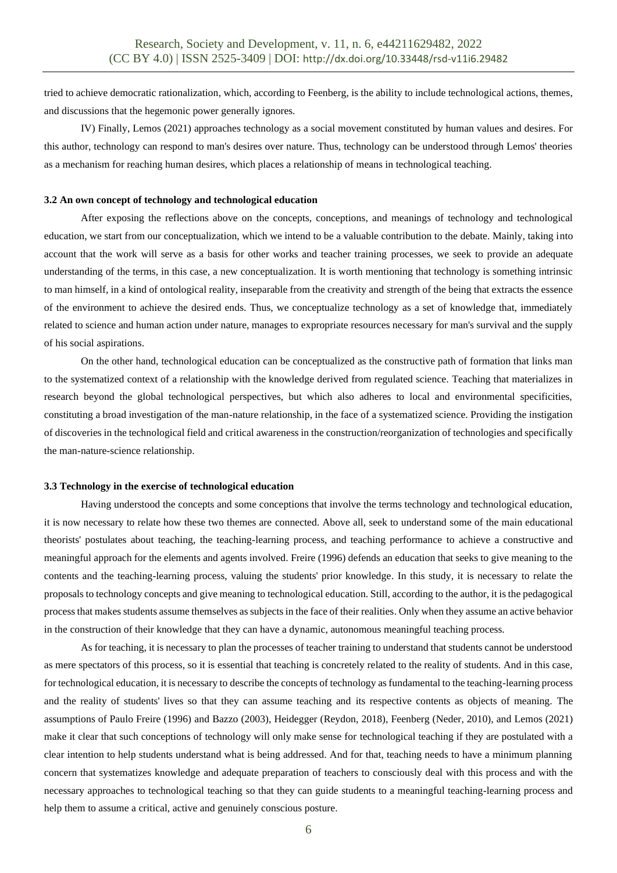tried to achieve democratic rationalization, which, according to Feenberg, is the ability to include technological actions, themes, and discussions that the hegemonic power generally ignores.

IV) Finally, Lemos (2021) approaches technology as a social movement constituted by human values and desires. For this author, technology can respond to man's desires over nature. Thus, technology can be understood through Lemos' theories as a mechanism for reaching human desires, which places a relationship of means in technological teaching.

### **3.2 An own concept of technology and technological education**

After exposing the reflections above on the concepts, conceptions, and meanings of technology and technological education, we start from our conceptualization, which we intend to be a valuable contribution to the debate. Mainly, taking into account that the work will serve as a basis for other works and teacher training processes, we seek to provide an adequate understanding of the terms, in this case, a new conceptualization. It is worth mentioning that technology is something intrinsic to man himself, in a kind of ontological reality, inseparable from the creativity and strength of the being that extracts the essence of the environment to achieve the desired ends. Thus, we conceptualize technology as a set of knowledge that, immediately related to science and human action under nature, manages to expropriate resources necessary for man's survival and the supply of his social aspirations.

On the other hand, technological education can be conceptualized as the constructive path of formation that links man to the systematized context of a relationship with the knowledge derived from regulated science. Teaching that materializes in research beyond the global technological perspectives, but which also adheres to local and environmental specificities, constituting a broad investigation of the man-nature relationship, in the face of a systematized science. Providing the instigation of discoveries in the technological field and critical awareness in the construction/reorganization of technologies and specifically the man-nature-science relationship.

### **3.3 Technology in the exercise of technological education**

Having understood the concepts and some conceptions that involve the terms technology and technological education, it is now necessary to relate how these two themes are connected. Above all, seek to understand some of the main educational theorists' postulates about teaching, the teaching-learning process, and teaching performance to achieve a constructive and meaningful approach for the elements and agents involved. Freire (1996) defends an education that seeks to give meaning to the contents and the teaching-learning process, valuing the students' prior knowledge. In this study, it is necessary to relate the proposals to technology concepts and give meaning to technological education. Still, according to the author, it is the pedagogical process that makes students assume themselves as subjects in the face of their realities. Only when they assume an active behavior in the construction of their knowledge that they can have a dynamic, autonomous meaningful teaching process.

As for teaching, it is necessary to plan the processes of teacher training to understand that students cannot be understood as mere spectators of this process, so it is essential that teaching is concretely related to the reality of students. And in this case, for technological education, it is necessary to describe the concepts of technology as fundamental to the teaching-learning process and the reality of students' lives so that they can assume teaching and its respective contents as objects of meaning. The assumptions of Paulo Freire (1996) and Bazzo (2003), Heidegger (Reydon, 2018), Feenberg (Neder, 2010), and Lemos (2021) make it clear that such conceptions of technology will only make sense for technological teaching if they are postulated with a clear intention to help students understand what is being addressed. And for that, teaching needs to have a minimum planning concern that systematizes knowledge and adequate preparation of teachers to consciously deal with this process and with the necessary approaches to technological teaching so that they can guide students to a meaningful teaching-learning process and help them to assume a critical, active and genuinely conscious posture.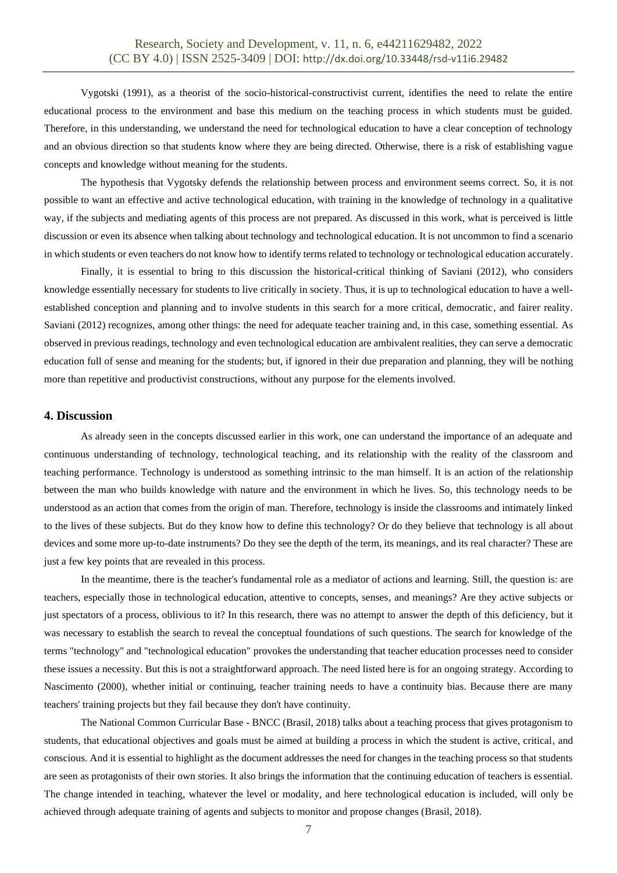Vygotski (1991), as a theorist of the socio-historical-constructivist current, identifies the need to relate the entire educational process to the environment and base this medium on the teaching process in which students must be guided. Therefore, in this understanding, we understand the need for technological education to have a clear conception of technology and an obvious direction so that students know where they are being directed. Otherwise, there is a risk of establishing vague concepts and knowledge without meaning for the students.

The hypothesis that Vygotsky defends the relationship between process and environment seems correct. So, it is not possible to want an effective and active technological education, with training in the knowledge of technology in a qualitative way, if the subjects and mediating agents of this process are not prepared. As discussed in this work, what is perceived is little discussion or even its absence when talking about technology and technological education. It is not uncommon to find a scenario in which students or even teachers do not know how to identify terms related to technology or technological education accurately.

Finally, it is essential to bring to this discussion the historical-critical thinking of Saviani (2012), who considers knowledge essentially necessary for students to live critically in society. Thus, it is up to technological education to have a wellestablished conception and planning and to involve students in this search for a more critical, democratic, and fairer reality. Saviani (2012) recognizes, among other things: the need for adequate teacher training and, in this case, something essential. As observed in previous readings, technology and even technological education are ambivalent realities, they can serve a democratic education full of sense and meaning for the students; but, if ignored in their due preparation and planning, they will be nothing more than repetitive and productivist constructions, without any purpose for the elements involved.

## **4. Discussion**

As already seen in the concepts discussed earlier in this work, one can understand the importance of an adequate and continuous understanding of technology, technological teaching, and its relationship with the reality of the classroom and teaching performance. Technology is understood as something intrinsic to the man himself. It is an action of the relationship between the man who builds knowledge with nature and the environment in which he lives. So, this technology needs to be understood as an action that comes from the origin of man. Therefore, technology is inside the classrooms and intimately linked to the lives of these subjects. But do they know how to define this technology? Or do they believe that technology is all about devices and some more up-to-date instruments? Do they see the depth of the term, its meanings, and its real character? These are just a few key points that are revealed in this process.

In the meantime, there is the teacher's fundamental role as a mediator of actions and learning. Still, the question is: are teachers, especially those in technological education, attentive to concepts, senses, and meanings? Are they active subjects or just spectators of a process, oblivious to it? In this research, there was no attempt to answer the depth of this deficiency, but it was necessary to establish the search to reveal the conceptual foundations of such questions. The search for knowledge of the terms "technology" and "technological education" provokes the understanding that teacher education processes need to consider these issues a necessity. But this is not a straightforward approach. The need listed here is for an ongoing strategy. According to Nascimento (2000), whether initial or continuing, teacher training needs to have a continuity bias. Because there are many teachers' training projects but they fail because they don't have continuity.

The National Common Curricular Base - BNCC (Brasil, 2018) talks about a teaching process that gives protagonism to students, that educational objectives and goals must be aimed at building a process in which the student is active, critical, and conscious. And it is essential to highlight as the document addresses the need for changes in the teaching process so that students are seen as protagonists of their own stories. It also brings the information that the continuing education of teachers is essential. The change intended in teaching, whatever the level or modality, and here technological education is included, will only be achieved through adequate training of agents and subjects to monitor and propose changes (Brasil, 2018).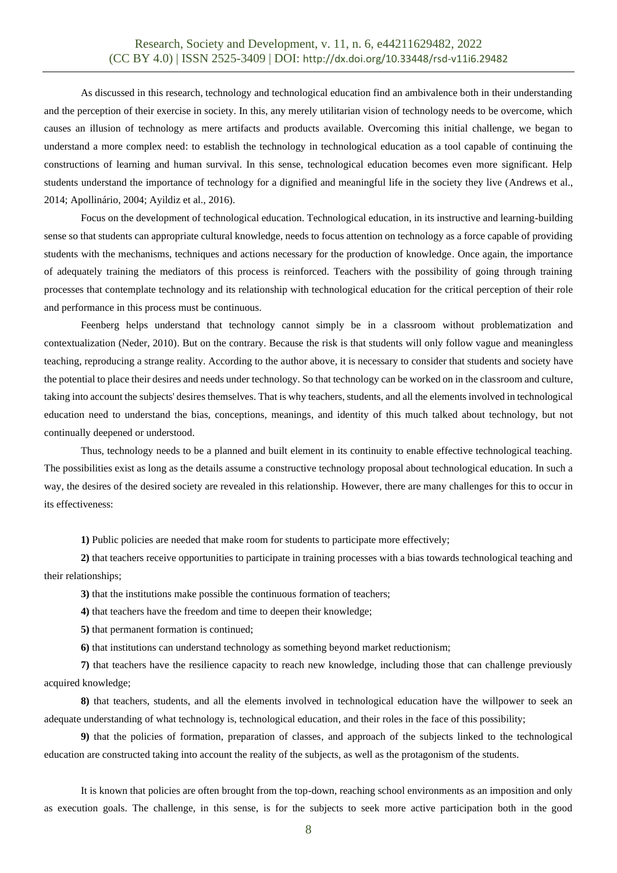As discussed in this research, technology and technological education find an ambivalence both in their understanding and the perception of their exercise in society. In this, any merely utilitarian vision of technology needs to be overcome, which causes an illusion of technology as mere artifacts and products available. Overcoming this initial challenge, we began to understand a more complex need: to establish the technology in technological education as a tool capable of continuing the constructions of learning and human survival. In this sense, technological education becomes even more significant. Help students understand the importance of technology for a dignified and meaningful life in the society they live (Andrews et al., 2014; Apollinário, 2004; Ayildiz et al., 2016).

Focus on the development of technological education. Technological education, in its instructive and learning-building sense so that students can appropriate cultural knowledge, needs to focus attention on technology as a force capable of providing students with the mechanisms, techniques and actions necessary for the production of knowledge. Once again, the importance of adequately training the mediators of this process is reinforced. Teachers with the possibility of going through training processes that contemplate technology and its relationship with technological education for the critical perception of their role and performance in this process must be continuous.

Feenberg helps understand that technology cannot simply be in a classroom without problematization and contextualization (Neder, 2010). But on the contrary. Because the risk is that students will only follow vague and meaningless teaching, reproducing a strange reality. According to the author above, it is necessary to consider that students and society have the potential to place their desires and needs under technology. So that technology can be worked on in the classroom and culture, taking into account the subjects' desires themselves. That is why teachers, students, and all the elements involved in technological education need to understand the bias, conceptions, meanings, and identity of this much talked about technology, but not continually deepened or understood.

Thus, technology needs to be a planned and built element in its continuity to enable effective technological teaching. The possibilities exist as long as the details assume a constructive technology proposal about technological education. In such a way, the desires of the desired society are revealed in this relationship. However, there are many challenges for this to occur in its effectiveness:

**1)** Public policies are needed that make room for students to participate more effectively;

**2)** that teachers receive opportunities to participate in training processes with a bias towards technological teaching and their relationships;

**3)** that the institutions make possible the continuous formation of teachers;

**4)** that teachers have the freedom and time to deepen their knowledge;

**5)** that permanent formation is continued;

**6)** that institutions can understand technology as something beyond market reductionism;

**7)** that teachers have the resilience capacity to reach new knowledge, including those that can challenge previously acquired knowledge;

**8)** that teachers, students, and all the elements involved in technological education have the willpower to seek an adequate understanding of what technology is, technological education, and their roles in the face of this possibility;

**9)** that the policies of formation, preparation of classes, and approach of the subjects linked to the technological education are constructed taking into account the reality of the subjects, as well as the protagonism of the students.

It is known that policies are often brought from the top-down, reaching school environments as an imposition and only as execution goals. The challenge, in this sense, is for the subjects to seek more active participation both in the good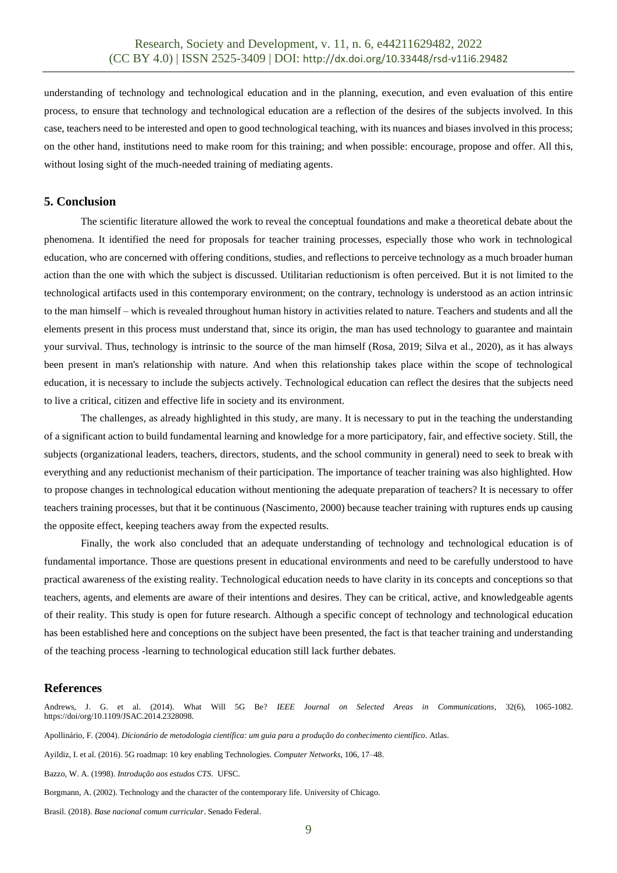understanding of technology and technological education and in the planning, execution, and even evaluation of this entire process, to ensure that technology and technological education are a reflection of the desires of the subjects involved. In this case, teachers need to be interested and open to good technological teaching, with its nuances and biases involved in this process; on the other hand, institutions need to make room for this training; and when possible: encourage, propose and offer. All this, without losing sight of the much-needed training of mediating agents.

# **5. Conclusion**

The scientific literature allowed the work to reveal the conceptual foundations and make a theoretical debate about the phenomena. It identified the need for proposals for teacher training processes, especially those who work in technological education, who are concerned with offering conditions, studies, and reflections to perceive technology as a much broader human action than the one with which the subject is discussed. Utilitarian reductionism is often perceived. But it is not limited to the technological artifacts used in this contemporary environment; on the contrary, technology is understood as an action intrinsic to the man himself – which is revealed throughout human history in activities related to nature. Teachers and students and all the elements present in this process must understand that, since its origin, the man has used technology to guarantee and maintain your survival. Thus, technology is intrinsic to the source of the man himself (Rosa, 2019; Silva et al., 2020), as it has always been present in man's relationship with nature. And when this relationship takes place within the scope of technological education, it is necessary to include the subjects actively. Technological education can reflect the desires that the subjects need to live a critical, citizen and effective life in society and its environment.

The challenges, as already highlighted in this study, are many. It is necessary to put in the teaching the understanding of a significant action to build fundamental learning and knowledge for a more participatory, fair, and effective society. Still, the subjects (organizational leaders, teachers, directors, students, and the school community in general) need to seek to break with everything and any reductionist mechanism of their participation. The importance of teacher training was also highlighted. How to propose changes in technological education without mentioning the adequate preparation of teachers? It is necessary to offer teachers training processes, but that it be continuous (Nascimento, 2000) because teacher training with ruptures ends up causing the opposite effect, keeping teachers away from the expected results.

Finally, the work also concluded that an adequate understanding of technology and technological education is of fundamental importance. Those are questions present in educational environments and need to be carefully understood to have practical awareness of the existing reality. Technological education needs to have clarity in its concepts and conceptions so that teachers, agents, and elements are aware of their intentions and desires. They can be critical, active, and knowledgeable agents of their reality. This study is open for future research. Although a specific concept of technology and technological education has been established here and conceptions on the subject have been presented, the fact is that teacher training and understanding of the teaching process -learning to technological education still lack further debates.

## **References**

Andrews, J. G. et al. (2014). What Will 5G Be? *IEEE Journal on Selected Areas in Communications*, 32(6), 1065-1082. https://doi/org/10.1109/JSAC.2014.2328098.

Apollinário, F. (2004). *Dicionário de metodologia científica: um guia para a produção do conhecimento científico*. Atlas.

Ayildiz, I. et al. (2016). 5G roadmap: 10 key enabling Technologies. *Computer Networks*, 106, 17–48.

Bazzo, W. A. (1998). *Introdução aos estudos CTS*. UFSC.

Borgmann, A. (2002). Technology and the character of the contemporary life. University of Chicago.

Brasil. (2018). *Base nacional comum curricular*. Senado Federal.